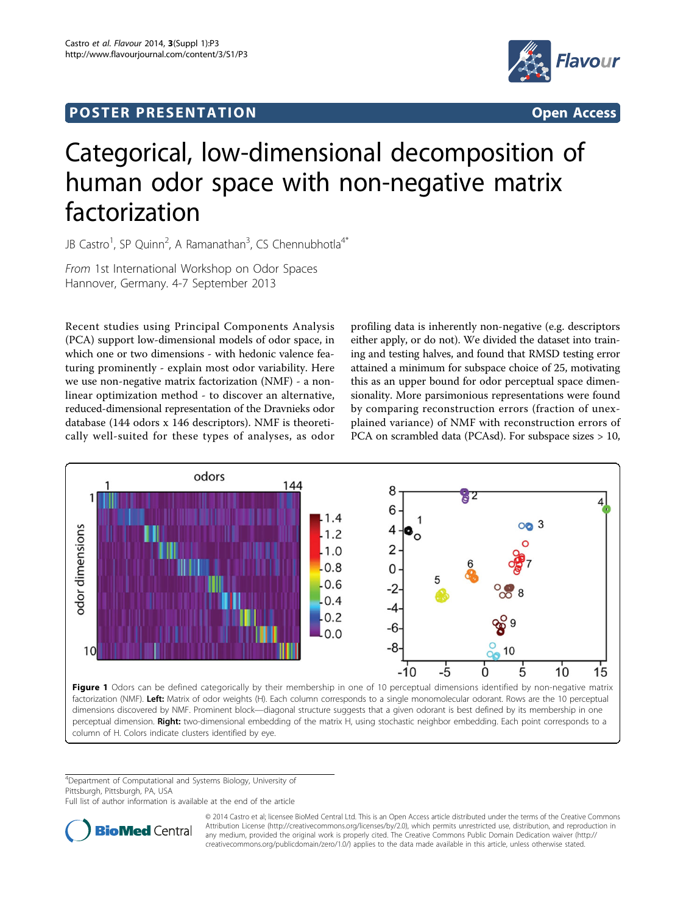## <span id="page-0-0"></span>Post Extensive Control of the St English Post Extensive Control of the St English Post English Post English Po<br>Post English Post English Post English Post English Post English Post English Post English Post English Post E



## Categorical, low-dimensional decomposition of human odor space with non-negative matrix factorization

JB Castro<sup>1</sup>, SP Quinn<sup>2</sup>, A Ramanathan<sup>3</sup>, CS Chennubhotla<sup>4\*</sup>

From 1st International Workshop on Odor Spaces Hannover, Germany. 4-7 September 2013

Recent studies using Principal Components Analysis (PCA) support low-dimensional models of odor space, in which one or two dimensions - with hedonic valence featuring prominently - explain most odor variability. Here we use non-negative matrix factorization (NMF) - a nonlinear optimization method - to discover an alternative, reduced-dimensional representation of the Dravnieks odor database (144 odors x 146 descriptors). NMF is theoretically well-suited for these types of analyses, as odor

profiling data is inherently non-negative (e.g. descriptors either apply, or do not). We divided the dataset into training and testing halves, and found that RMSD testing error attained a minimum for subspace choice of 25, motivating this as an upper bound for odor perceptual space dimensionality. More parsimonious representations were found by comparing reconstruction errors (fraction of unexplained variance) of NMF with reconstruction errors of PCA on scrambled data (PCAsd). For subspace sizes > 10,



factorization (NMF). Left: Matrix of odor weights (H). Each column corresponds to a single monomolecular odorant. Rows are the 10 perceptual dimensions discovered by NMF. Prominent block—diagonal structure suggests that a given odorant is best defined by its membership in one perceptual dimension. Right: two-dimensional embedding of the matrix H, using stochastic neighbor embedding. Each point corresponds to a column of H. Colors indicate clusters identified by eye.

4 Department of Computational and Systems Biology, University of Pittsburgh, Pittsburgh, PA, USA

Full list of author information is available at the end of the article



© 2014 Castro et al; licensee BioMed Central Ltd. This is an Open Access article distributed under the terms of the Creative Commons Attribution License [\(http://creativecommons.org/licenses/by/2.0](http://creativecommons.org/licenses/by/2.0)), which permits unrestricted use, distribution, and reproduction in any medium, provided the original work is properly cited. The Creative Commons Public Domain Dedication waiver [\(http://](http://creativecommons.org/publicdomain/zero/1.0/) [creativecommons.org/publicdomain/zero/1.0/](http://creativecommons.org/publicdomain/zero/1.0/)) applies to the data made available in this article, unless otherwise stated.